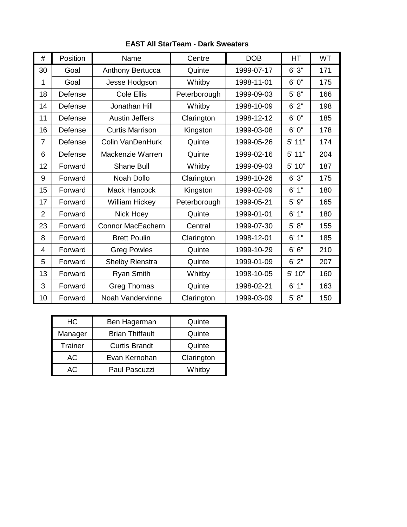| #              | Position | Name                     | Centre       | <b>DOB</b> | HT       | WT  |
|----------------|----------|--------------------------|--------------|------------|----------|-----|
| 30             | Goal     | Anthony Bertucca         | Quinte       | 1999-07-17 | 6'3''    | 171 |
| 1              | Goal     | Jesse Hodgson            | Whitby       | 1998-11-01 | 6'0''    | 175 |
| 18             | Defense  | <b>Cole Ellis</b>        | Peterborough | 1999-09-03 | 5' 8''   | 166 |
| 14             | Defense  | Jonathan Hill            | Whitby       | 1998-10-09 | 6'2"     | 198 |
| 11             | Defense  | <b>Austin Jeffers</b>    | Clarington   | 1998-12-12 | 6' 0"    | 185 |
| 16             | Defense  | <b>Curtis Marrison</b>   | Kingston     | 1999-03-08 | 6' 0"    | 178 |
| $\overline{7}$ | Defense  | <b>Colin VanDenHurk</b>  | Quinte       | 1999-05-26 | $5'$ 11" | 174 |
| 6              | Defense  | Mackenzie Warren         | Quinte       | 1999-02-16 | $5'$ 11" | 204 |
| 12             | Forward  | <b>Shane Bull</b>        | Whitby       | 1999-09-03 | 5' 10"   | 187 |
| 9              | Forward  | Noah Dollo               | Clarington   | 1998-10-26 | 6'3''    | 175 |
| 15             | Forward  | <b>Mack Hancock</b>      | Kingston     | 1999-02-09 | 6'1''    | 180 |
| 17             | Forward  | <b>William Hickey</b>    | Peterborough | 1999-05-21 | 5' 9"    | 165 |
| $\overline{2}$ | Forward  | Nick Hoey                | Quinte       | 1999-01-01 | 6'1''    | 180 |
| 23             | Forward  | <b>Connor MacEachern</b> | Central      | 1999-07-30 | 5' 8''   | 155 |
| 8              | Forward  | <b>Brett Poulin</b>      | Clarington   | 1998-12-01 | 6'1"     | 185 |
| 4              | Forward  | <b>Greg Powles</b>       | Quinte       | 1999-10-29 | 6' 6''   | 210 |
| 5              | Forward  | Shelby Rienstra          | Quinte       | 1999-01-09 | 6'2"     | 207 |
| 13             | Forward  | <b>Ryan Smith</b>        | Whitby       | 1998-10-05 | 5' 10"   | 160 |
| 3              | Forward  | <b>Greg Thomas</b>       | Quinte       | 1998-02-21 | 6'1''    | 163 |
| 10             | Forward  | Noah Vandervinne         | Clarington   | 1999-03-09 | 5' 8''   | 150 |

## **EAST All StarTeam - Dark Sweaters**

| HС      | Ben Hagerman           | Quinte     |  |
|---------|------------------------|------------|--|
| Manager | <b>Brian Thiffault</b> | Quinte     |  |
| Trainer | <b>Curtis Brandt</b>   | Quinte     |  |
| AC      | Evan Kernohan          | Clarington |  |
| AC.     | Paul Pascuzzi          | Whitby     |  |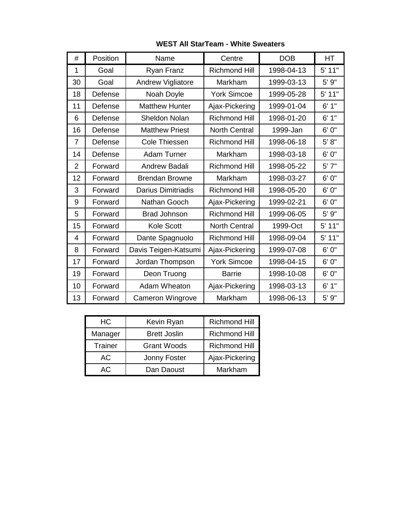| <b>WEST All StarTeam - White Sweaters</b> |  |  |
|-------------------------------------------|--|--|
|-------------------------------------------|--|--|

| #              | Position | Name                      | Centre               | <b>DOB</b> | <b>HT</b> |
|----------------|----------|---------------------------|----------------------|------------|-----------|
| 1              | Goal     | Ryan Franz                | <b>Richmond Hill</b> | 1998-04-13 | 5' 11"    |
| 30             | Goal     | <b>Andrew Vigliatore</b>  | Markham              | 1999-03-13 | 5' 9"     |
| 18             | Defense  | Noah Doyle                | <b>York Simcoe</b>   | 1999-05-28 | $5'$ 11"  |
| 11             | Defense  | <b>Matthew Hunter</b>     | Ajax-Pickering       | 1999-01-04 | 6'1''     |
| 6              | Defense  | <b>Sheldon Nolan</b>      | <b>Richmond Hill</b> | 1998-01-20 | 6'1''     |
| 16             | Defense  | <b>Matthew Priest</b>     | <b>North Central</b> | 1999-Jan   | 6' 0"     |
| $\overline{7}$ | Defense  | <b>Cole Thiessen</b>      | <b>Richmond Hill</b> | 1998-06-18 | 5' 8''    |
| 14             | Defense  | Adam Turner               | Markham              | 1998-03-18 | 6'0''     |
| $\overline{2}$ | Forward  | Andrew Badali             | <b>Richmond Hill</b> | 1998-05-22 | 5'7''     |
| 12             | Forward  | <b>Brendan Browne</b>     | Markham              | 1998-03-27 | 6' 0"     |
| 3              | Forward  | <b>Darius Dimitriadis</b> | <b>Richmond Hill</b> | 1998-05-20 | 6' 0"     |
| 9              | Forward  | Nathan Gooch              | Ajax-Pickering       | 1999-02-21 | 6' 0"     |
| 5              | Forward  | <b>Brad Johnson</b>       | <b>Richmond Hill</b> | 1999-06-05 | 5' 9"     |
| 15             | Forward  | <b>Kole Scott</b>         | <b>North Central</b> | 1999-Oct   | 5' 11"    |
| 4              | Forward  | Dante Spagnuolo           | <b>Richmond Hill</b> | 1998-09-04 | 5' 11"    |
| 8              | Forward  | Davis Teigen-Katsumi      | Ajax-Pickering       | 1999-07-08 | 6' 0"     |
| 17             | Forward  | Jordan Thompson           | <b>York Simcoe</b>   | 1998-04-15 | 6' 0"     |
| 19             | Forward  | Deon Truong               | <b>Barrie</b>        | 1998-10-08 | 6' 0"     |
| 10             | Forward  | Adam Wheaton              | Ajax-Pickering       | 1998-03-13 | 6'1"      |
| 13             | Forward  | <b>Cameron Wingrove</b>   | Markham              | 1998-06-13 | 5'9''     |

| HC      | Kevin Ryan          | <b>Richmond Hill</b> |  |
|---------|---------------------|----------------------|--|
| Manager | <b>Brett Joslin</b> | <b>Richmond Hill</b> |  |
| Trainer | <b>Grant Woods</b>  | <b>Richmond Hill</b> |  |
| АC      | Jonny Foster        | Ajax-Pickering       |  |
| AC.     | Dan Daoust          | Markham              |  |